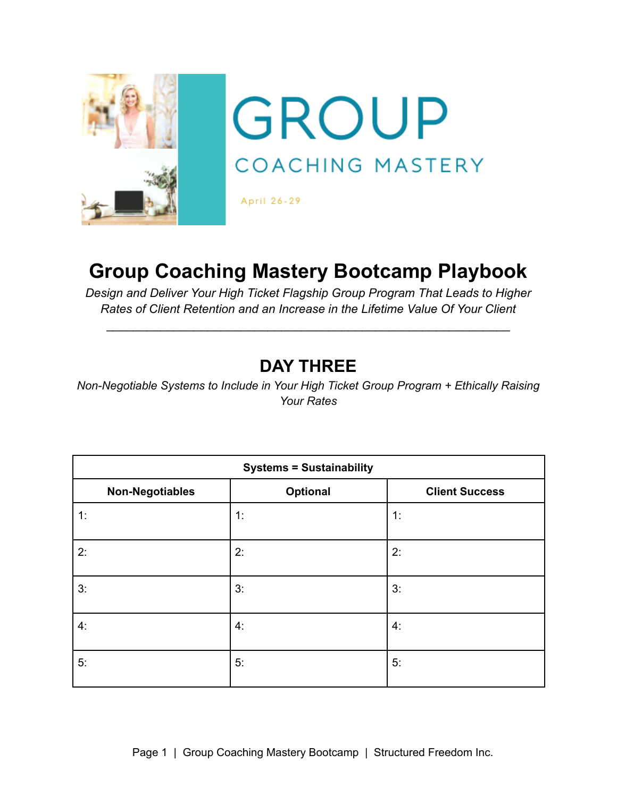

# **Group Coaching Mastery Bootcamp Playbook**

*Design and Deliver Your High Ticket Flagship Group Program That Leads to Higher Rates of Client Retention and an Increase in the Lifetime Value Of Your Client*

\_\_\_\_\_\_\_\_\_\_\_\_\_\_\_\_\_\_\_\_\_\_\_\_\_\_\_\_\_\_\_\_\_\_\_\_\_\_\_\_\_\_\_\_\_\_\_\_\_\_\_\_\_\_\_\_\_\_\_\_

# **DAY THREE**

*Non-Negotiable Systems to Include in Your High Ticket Group Program + Ethically Raising Your Rates*

| <b>Systems = Sustainability</b> |          |                       |
|---------------------------------|----------|-----------------------|
| <b>Non-Negotiables</b>          | Optional | <b>Client Success</b> |
| 1:                              | 1:       | 1:                    |
| 2:                              | 2:       | 2:                    |
| 3:                              | 3:       | 3:                    |
| 4:                              | 4:       | 4:                    |
| 5:                              | 5:       | 5:                    |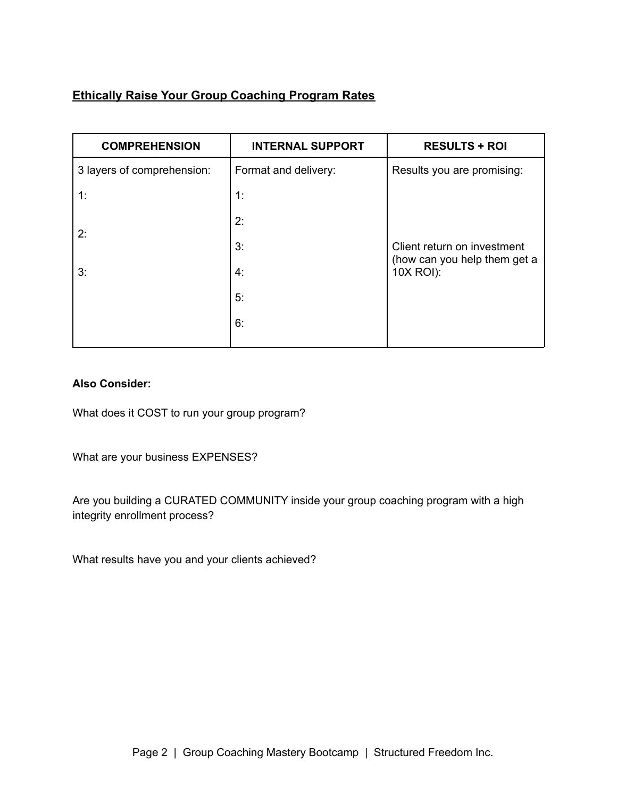## **Ethically Raise Your Group Coaching Program Rates**

| <b>COMPREHENSION</b>       | <b>INTERNAL SUPPORT</b> | <b>RESULTS + ROI</b>                                                     |
|----------------------------|-------------------------|--------------------------------------------------------------------------|
| 3 layers of comprehension: | Format and delivery:    | Results you are promising:                                               |
| 1:                         | 1:                      |                                                                          |
|                            | 2:                      |                                                                          |
| 2:                         | 3:                      | Client return on investment<br>(how can you help them get a<br>10X ROI): |
| 3:                         | 4.                      |                                                                          |
|                            | 5:                      |                                                                          |
|                            | 6:                      |                                                                          |
|                            |                         |                                                                          |

#### **Also Consider:**

What does it COST to run your group program?

What are your business EXPENSES?

Are you building a CURATED COMMUNITY inside your group coaching program with a high integrity enrollment process?

What results have you and your clients achieved?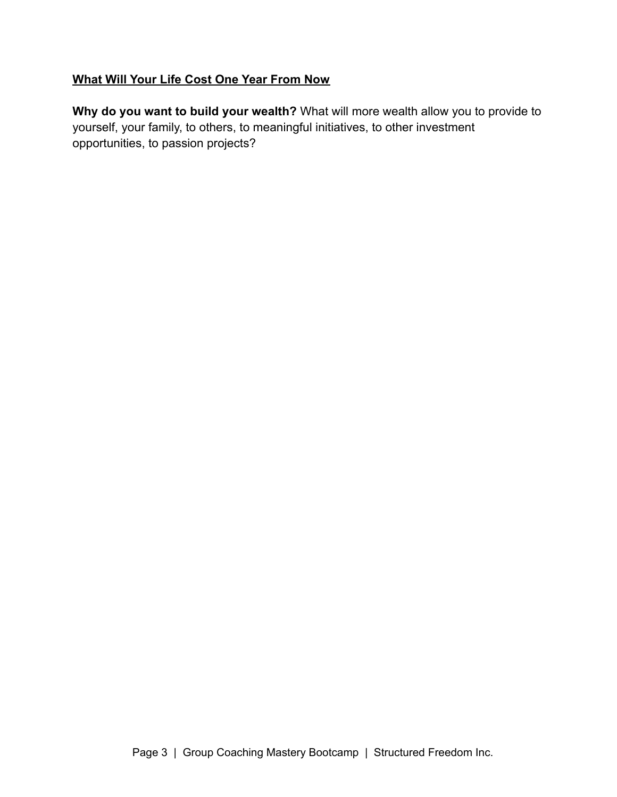### **What Will Your Life Cost One Year From Now**

**Why do you want to build your wealth?** What will more wealth allow you to provide to yourself, your family, to others, to meaningful initiatives, to other investment opportunities, to passion projects?